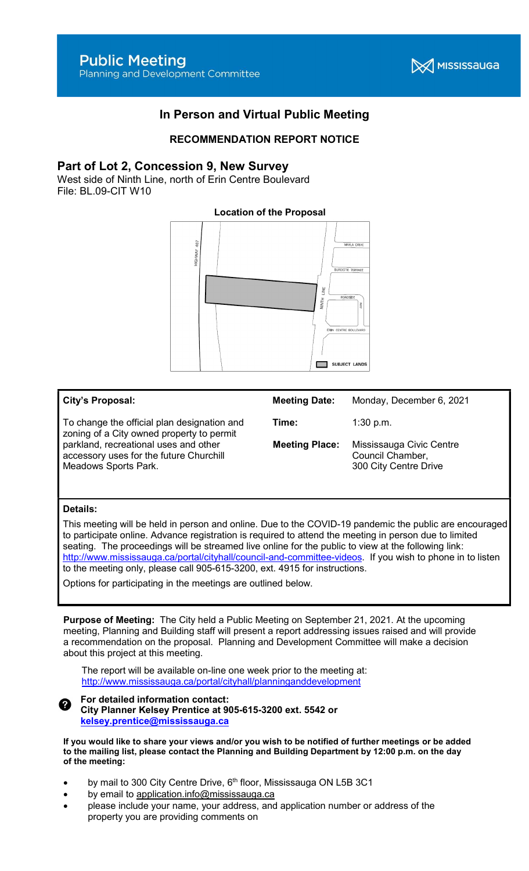

# In Person and Virtual Public Meeting

## RECOMMENDATION REPORT NOTICE

### Part of Lot 2, Concession 9, New Survey

West side of Ninth Line, north of Erin Centre Boulevard File: BL.09-CIT W10

# Location of the Proposal 107



#### City's Proposal:

To change the official plan designation and zoning of a City owned property to permit parkland, recreational uses and other accessory uses for the future Churchill Meadows Sports Park.

| <b>Meeting Date:</b>  | Monday, December 6, 2021                                              |
|-----------------------|-----------------------------------------------------------------------|
| Time:                 | $1:30$ p.m.                                                           |
| <b>Meeting Place:</b> | Mississauga Civic Centre<br>Council Chamber,<br>300 City Centre Drive |

#### Details:

This meeting will be held in person and online. Due to the COVID-19 pandemic the public are encouraged to participate online. Advance registration is required to attend the meeting in person due to limited seating. The proceedings will be streamed live online for the public to view at the following link: http://www.mississauga.ca/portal/cityhall/council-and-committee-videos. If you wish to phone in to listen to the meeting only, please call 905-615-3200, ext. 4915 for instructions.

Options for participating in the meetings are outlined below.

Purpose of Meeting: The City held a Public Meeting on September 21, 2021. At the upcoming meeting, Planning and Building staff will present a report addressing issues raised and will provide a recommendation on the proposal. Planning and Development Committee will make a decision about this project at this meeting.

The report will be available on-line one week prior to the meeting at: http://www.mississauga.ca/portal/cityhall/planninganddevelopment

#### For detailed information contact: City Planner Kelsey Prentice at 905-615-3200 ext. 5542 or kelsey.prentice@mississauga.ca

If you would like to share your views and/or you wish to be notified of further meetings or be added to the mailing list, please contact the Planning and Building Department by 12:00 p.m. on the day of the meeting:

- by mail to 300 City Centre Drive, 6<sup>th</sup> floor, Mississauga ON L5B 3C1
- by email to application.info@mississauga.ca
- please include your name, your address, and application number or address of the property you are providing comments on